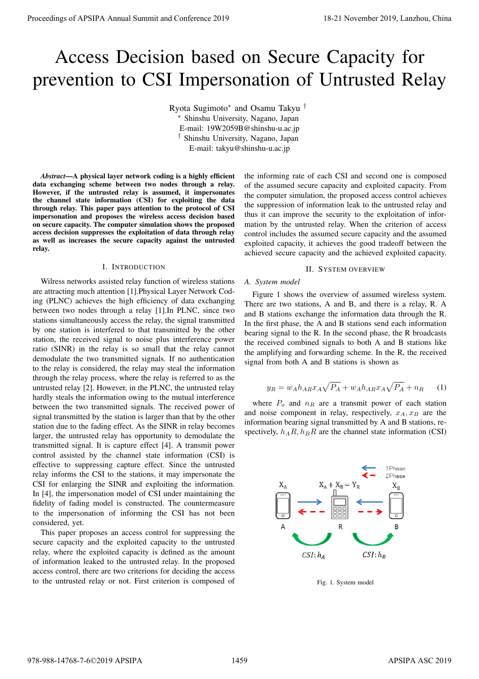# Access Decision based on Secure Capacity for prevention to CSI Impersonation of Untrusted Relay

Ryota Sugimoto<sup>∗</sup> and Osamu Takyu † <sup>∗</sup> Shinshu University, Nagano, Japan E-mail: 19W2059B@shinshu-u.ac.jp † Shinshu University, Nagano, Japan E-mail: takyu@shinshu-u.ac.jp

*Abstract***—A physical layer network coding is a highly efficient data exchanging scheme between two nodes through a relay. However, if the untrusted relay is assumed, it impersonates the channel state information (CSI) for exploiting the data through relay. This paper pays attention to the protocol of CSI impersonation and proposes the wireless access decision based on secure capacity. The computer simulation shows the proposed access decision suppresses the exploitation of data through relay as well as increases the secure capacity against the untrusted relay.**

#### I. INTRODUCTION

Wilress networks assisted relay function of wireless stations are attracting much attention [1].Physical Layer Network Coding (PLNC) achieves the high efficiency of data exchanging between two nodes through a relay [1].In PLNC, since two stations simultaneously access the relay, the signal transmitted by one station is interfered to that transmitted by the other station, the received signal to noise plus interference power ratio (SINR) in the relay is so small that the relay cannot demodulate the two transmitted signals. If no authentication to the relay is considered, the relay may steal the information through the relay process, where the relay is referred to as the untrusted relay [2]. However, in the PLNC, the untrusted relay hardly steals the information owing to the mutual interference between the two transmitted signals. The received power of signal transmitted by the station is larger than that by the other station due to the fading effect. As the SINR in relay becomes larger, the untrusted relay has opportunity to demodulate the transmitted signal. It is capture effect [4]. A transmit power control assisted by the channel state information (CSI) is effective to suppressing capture effect. Since the untrusted relay informs the CSI to the stations, it may impersonate the CSI for enlarging the SINR and exploiting the information. In [4], the impersonation model of CSI under maintaining the fidelity of fading model is constructed. The countermeasure to the impersonation of informing the CSI has not been considered, yet. Proceeding of APSIPA Annual Summit at China 978-988-1478<br>
Access Decision based on Secure Capacity for<br>provention to CSI Impersonation of Untrusted Relay<br>  $\frac{1}{2}$ <br>  $\frac{1}{2}$ <br>  $\frac{1}{2}$ <br>  $\frac{1}{2}$ <br>  $\frac{1}{2}$ <br>  $\frac{1}{2}$ <br>

This paper proposes an access control for suppressing the secure capacity and the exploited capacity to the untrusted relay, where the exploited capacity is defined as the amount of information leaked to the untrusted relay. In the proposed access control, there are two criterions for deciding the access to the untrusted relay or not. First criterion is composed of the informing rate of each CSI and second one is composed of the assumed secure capacity and exploited capacity. From the computer simulation, the proposed access control achieves the suppression of information leak to the untrusted relay and thus it can improve the security to the exploitation of information by the untrusted relay. When the criterion of access control includes the assumed secure capacity and the assumed exploited capacity, it achieves the good tradeoff between the achieved secure capacity and the achieved exploited capacity.

## II. SYSTEM OVERVIEW

#### *A. System model*

Figure 1 shows the overview of assumed wireless system. There are two stations, A and B, and there is a relay, R. A and B stations exchange the information data through the R. In the first phase, the A and B stations send each information bearing signal to the R. In the second phase, the R broadcasts the received combined signals to both A and B stations like the amplifying and forwarding scheme. In the R, the received signal from both A and B stations is shown as

$$
y_R = w_A h_{AR} x_A \sqrt{P_A} + w_A h_{AR} x_A \sqrt{P_A} + n_R \qquad (1)
$$

where  $P_o$  and  $n_R$  are a transmit power of each station and noise component in relay, respectively,  $x_A, x_B$  are the information bearing signal transmitted by A and B stations, respectively,  $h_A R$ ,  $h_B R$  are the channel state information (CSI)



Fig. 1. System model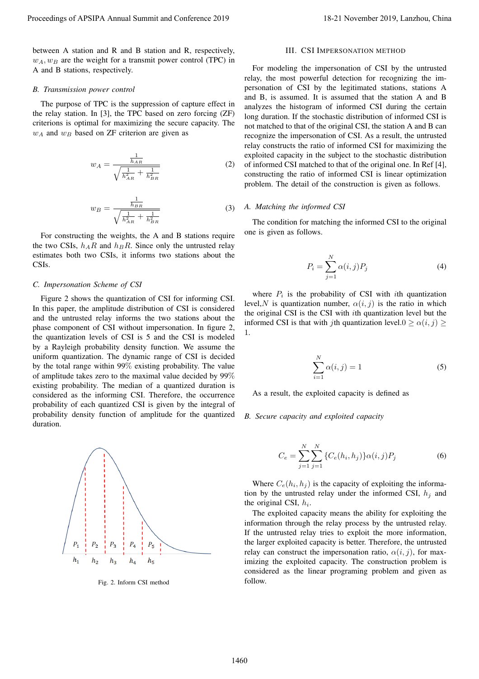between A station and R and B station and R, respectively,  $w_A, w_B$  are the weight for a transmit power control (TPC) in A and B stations, respectively.

# *B. Transmission power control*

The purpose of TPC is the suppression of capture effect in the relay station. In [3], the TPC based on zero forcing (ZF) criterions is optimal for maximizing the secure capacity. The  $w_A$  and  $w_B$  based on ZF criterion are given as

$$
w_A = \frac{\frac{1}{h_{AR}}}{\sqrt{\frac{1}{h_{AR}^2} + \frac{1}{h_{BR}^2}}}
$$
 (2)

$$
w_B = \frac{\frac{1}{h_{BR}}}{\sqrt{\frac{1}{h_{AR}^2} + \frac{1}{h_{BR}^2}}}
$$
(3)

For constructing the weights, the A and B stations require the two CSIs,  $h_A R$  and  $h_B R$ . Since only the untrusted relay estimates both two CSIs, it informs two stations about the CSIs.

# *C. Impersonation Scheme of CSI*

Figure 2 shows the quantization of CSI for informing CSI. In this paper, the amplitude distribution of CSI is considered and the untrusted relay informs the two stations about the phase component of CSI without impersonation. In figure 2, the quantization levels of CSI is 5 and the CSI is modeled by a Rayleigh probability density function. We assume the uniform quantization. The dynamic range of CSI is decided by the total range within 99% existing probability. The value of amplitude takes zero to the maximal value decided by 99% existing probability. The median of a quantized duration is considered as the informing CSI. Therefore, the occurrence probability of each quantized CSI is given by the integral of probability density function of amplitude for the quantized duration. Proceedings of APSIPA Annual Summit and Conference 2019<br>
U. China conference 2019 18-21 November 2019, Lanzhou, China Conference 2019 18-21 November 2019, Lanzhou, China 2019, Lanzhou, China 2019, Lanzhou, China 2019, Lan



Fig. 2. Inform CSI method

# III. CSI IMPERSONATION METHOD

For modeling the impersonation of CSI by the untrusted relay, the most powerful detection for recognizing the impersonation of CSI by the legitimated stations, stations A and B, is assumed. It is assumed that the station A and B analyzes the histogram of informed CSI during the certain long duration. If the stochastic distribution of informed CSI is not matched to that of the original CSI, the station A and B can recognize the impersonation of CSI. As a result, the untrusted relay constructs the ratio of informed CSI for maximizing the exploited capacity in the subject to the stochastic distribution of informed CSI matched to that of the original one. In Ref [4], constructing the ratio of informed CSI is linear optimization problem. The detail of the construction is given as follows.

# *A. Matching the informed CSI*

The condition for matching the informed CSI to the original one is given as follows.

$$
P_i = \sum_{j=1}^{N} \alpha(i, j) P_j
$$
\n(4)

where  $P_i$  is the probability of CSI with *i*th quantization level, N is quantization number,  $\alpha(i, j)$  is the ratio in which the original CSI is the CSI with ith quantization level but the informed CSI is that with *j*th quantization level. $0 \ge \alpha(i, j) \ge$ 1.

$$
\sum_{i=1}^{N} \alpha(i,j) = 1
$$
\n(5)

As a result, the exploited capacity is defined as

# *B. Secure capacity and exploited capacity*

$$
C_e = \sum_{j=1}^{N} \sum_{j=1}^{N} \{C_e(h_i, h_j)\} \alpha(i, j) P_j
$$
 (6)

Where  $C_e(h_i, h_j)$  is the capacity of exploiting the information by the untrusted relay under the informed CSI,  $h_i$  and the original CSI,  $h_i$ .

The exploited capacity means the ability for exploiting the information through the relay process by the untrusted relay. If the untrusted relay tries to exploit the more information, the larger exploited capacity is better. Therefore, the untrusted relay can construct the impersonation ratio,  $\alpha(i, j)$ , for maximizing the exploited capacity. The construction problem is considered as the linear programing problem and given as follow.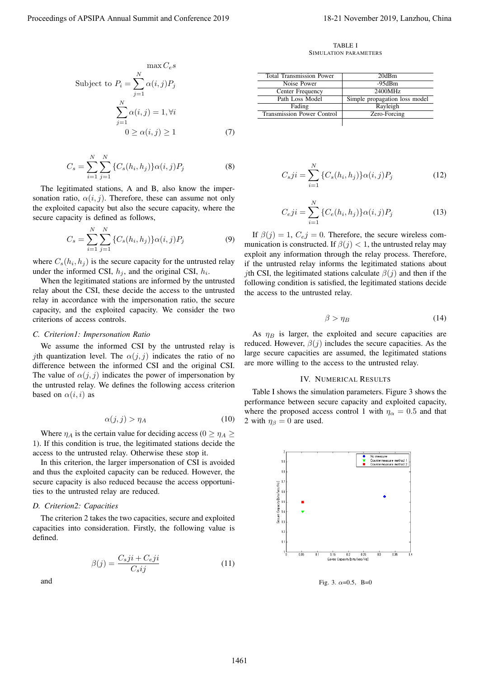N

 $j=1$ 

Subject to  $P_i = \sum$ 

 $\sum$ N

 $j=1$ 

TABLE I SIMULATION PARAMETERS

| <b>Total Transmission Power</b>   | 20dBm                         |
|-----------------------------------|-------------------------------|
| Noise Power                       | $-95dBm$                      |
| Center Frequency                  | 2400MHz                       |
| Path Loss Model                   | Simple propagation loss model |
| Fading                            | Rayleigh                      |
| <b>Transmission Power Control</b> | Zero-Forcing                  |
|                                   |                               |

$$
C_sji = \sum_{i=1}^{N} \{C_s(h_i, h_j)\} \alpha(i, j) P_j
$$
 (12)

$$
C_{e}ji = \sum_{i=1}^{N} \{C_{e}(h_{i}, h_{j})\} \alpha(i, j) P_{j}
$$
 (13)

If  $\beta(j) = 1, C_e j = 0$ . Therefore, the secure wireless communication is constructed. If  $\beta(j) < 1$ , the untrusted relay may exploit any information through the relay process. Therefore, if the untrusted relay informs the legitimated stations about *j*th CSI, the legitimated stations calculate  $\beta(j)$  and then if the following condition is satisfied, the legitimated stations decide the access to the untrusted relay.

$$
\beta > \eta_B \tag{14}
$$

As  $\eta_B$  is larger, the exploited and secure capacities are reduced. However,  $\beta(j)$  includes the secure capacities. As the large secure capacities are assumed, the legitimated stations are more willing to the access to the untrusted relay.

#### IV. NUMERICAL RESULTS

Table I shows the simulation parameters. Figure 3 shows the performance between secure capacity and exploited capacity, where the proposed access control 1 with  $\eta_{\alpha} = 0.5$  and that 2 with  $\eta_\beta = 0$  are used.



Fig. 3.  $\alpha=0.5$ , B=0

 $C_s = \sum$ N  $i=1$  $\sum$ N  $j=1$  $\{C_s(h_i, h_j)\}\alpha(i, j)P_j$  (8)

 $\max C_e s$ 

 $\alpha(i, j)P_j$ 

 $0 \ge \alpha(i,j) \ge 1$  (7)

 $\alpha(i, j) = 1, \forall i$ 

The legitimated stations, A and B, also know the impersonation ratio,  $\alpha(i, j)$ . Therefore, these can assume not only the exploited capacity but also the secure capacity, where the secure capacity is defined as follows,

$$
C_s = \sum_{i=1}^{N} \sum_{j=1}^{N} \{ C_s(h_i, h_j) \} \alpha(i, j) P_j
$$
 (9)

where  $C_s(h_i, h_j)$  is the secure capacity for the untrusted relay under the informed CSI,  $h_j$ , and the original CSI,  $h_i$ .

When the legitimated stations are informed by the untrusted relay about the CSI, these decide the access to the untrusted relay in accordance with the impersonation ratio, the secure capacity, and the exploited capacity. We consider the two criterions of access controls.

#### *C. Criterion1: Impersonation Ratio*

We assume the informed CSI by the untrusted relay is jth quantization level. The  $\alpha(j, j)$  indicates the ratio of no difference between the informed CSI and the original CSI. The value of  $\alpha(j, j)$  indicates the power of impersonation by the untrusted relay. We defines the following access criterion based on  $\alpha(i, i)$  as

$$
\alpha(j,j) > \eta_A \tag{10}
$$

Where  $\eta_A$  is the certain value for deciding access ( $0 \geq \eta_A \geq$ 1). If this condition is true, the legitimated stations decide the access to the untrusted relay. Otherwise these stop it.

In this criterion, the larger impersonation of CSI is avoided and thus the exploited capacity can be reduced. However, the secure capacity is also reduced because the access opportunities to the untrusted relay are reduced.

## *D. Criterion2: Capacities*

The criterion 2 takes the two capacities, secure and exploited capacities into consideration. Firstly, the following value is defined.

$$
\beta(j) = \frac{C_s j i + C_e j i}{C_s i j} \tag{11}
$$

and